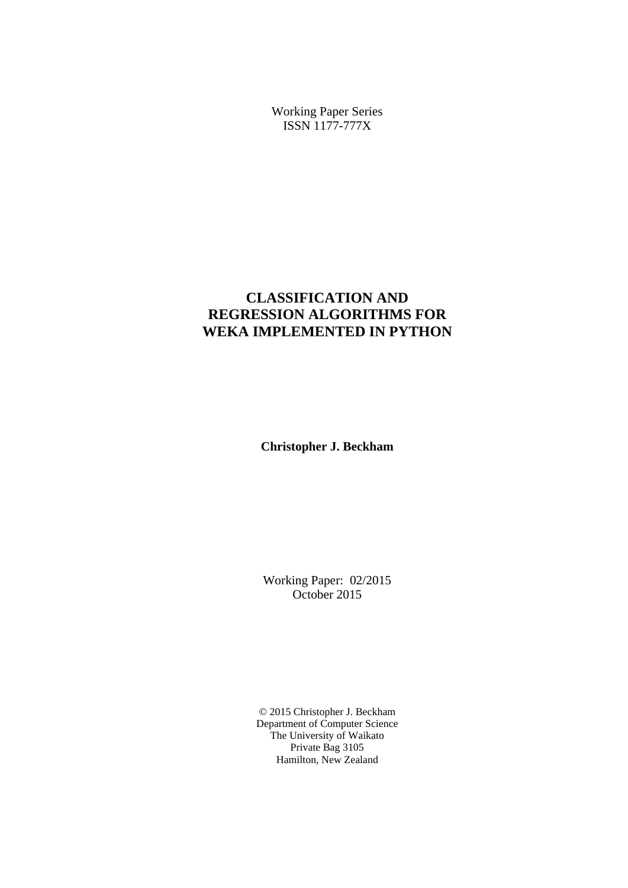Working Paper Series ISSN 1177-777X

# **CLASSIFICATION AND REGRESSION ALGORITHMS FOR WEKA IMPLEMENTED IN PYTHON**

**Christopher J. Beckham** 

Working Paper: 02/2015 October 2015

© 2015 Christopher J. Beckham Department of Computer Science The University of Waikato Private Bag 3105 Hamilton, New Zealand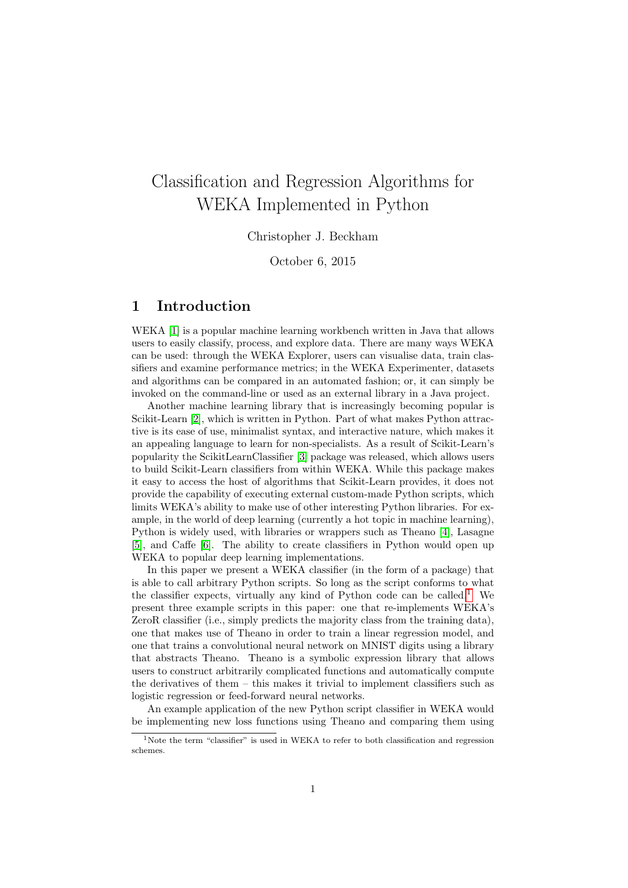# Classification and Regression Algorithms for WEKA Implemented in Python

Christopher J. Beckham

October 6, 2015

# 1 Introduction

WEKA [\[1\]](#page-14-0) is a popular machine learning workbench written in Java that allows users to easily classify, process, and explore data. There are many ways WEKA can be used: through the WEKA Explorer, users can visualise data, train classifiers and examine performance metrics; in the WEKA Experimenter, datasets and algorithms can be compared in an automated fashion; or, it can simply be invoked on the command-line or used as an external library in a Java project.

Another machine learning library that is increasingly becoming popular is Scikit-Learn [\[2\]](#page-14-1), which is written in Python. Part of what makes Python attractive is its ease of use, minimalist syntax, and interactive nature, which makes it an appealing language to learn for non-specialists. As a result of Scikit-Learn's popularity the ScikitLearnClassifier [\[3\]](#page-14-2) package was released, which allows users to build Scikit-Learn classifiers from within WEKA. While this package makes it easy to access the host of algorithms that Scikit-Learn provides, it does not provide the capability of executing external custom-made Python scripts, which limits WEKA's ability to make use of other interesting Python libraries. For example, in the world of deep learning (currently a hot topic in machine learning), Python is widely used, with libraries or wrappers such as Theano [\[4\]](#page-14-3), Lasagne [\[5\]](#page-14-4), and Caffe [\[6\]](#page-14-5). The ability to create classifiers in Python would open up WEKA to popular deep learning implementations.

In this paper we present a WEKA classifier (in the form of a package) that is able to call arbitrary Python scripts. So long as the script conforms to what the classifier expects, virtually any kind of Python code can be called.<sup>[1](#page-1-0)</sup> We present three example scripts in this paper: one that re-implements WEKA's ZeroR classifier (i.e., simply predicts the majority class from the training data), one that makes use of Theano in order to train a linear regression model, and one that trains a convolutional neural network on MNIST digits using a library that abstracts Theano. Theano is a symbolic expression library that allows users to construct arbitrarily complicated functions and automatically compute the derivatives of them – this makes it trivial to implement classifiers such as logistic regression or feed-forward neural networks.

An example application of the new Python script classifier in WEKA would be implementing new loss functions using Theano and comparing them using

<span id="page-1-0"></span><sup>&</sup>lt;sup>1</sup>Note the term "classifier" is used in WEKA to refer to both classification and regression schemes.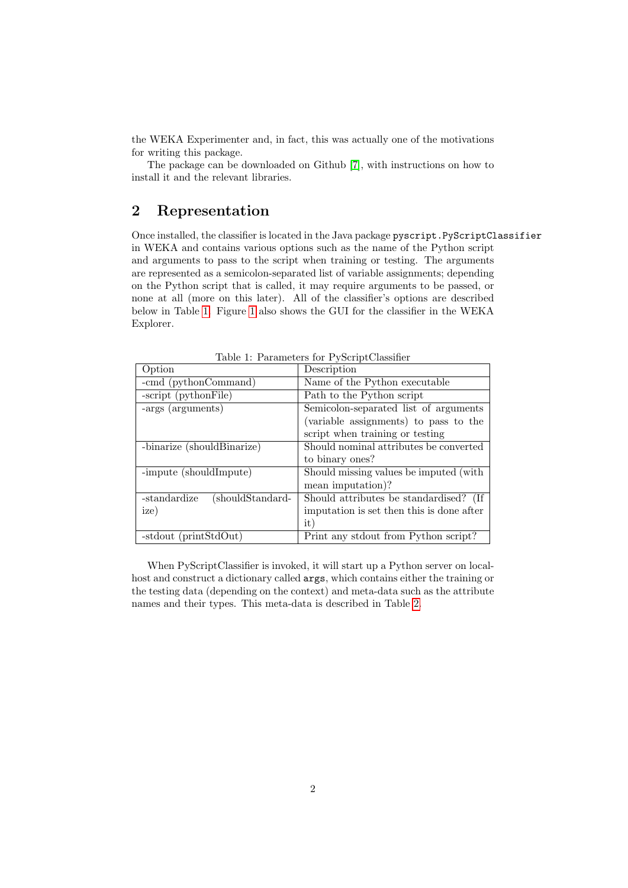the WEKA Experimenter and, in fact, this was actually one of the motivations for writing this package.

The package can be downloaded on Github [\[7\]](#page-14-6), with instructions on how to install it and the relevant libraries.

# 2 Representation

Once installed, the classifier is located in the Java package pyscript.PyScriptClassifier in WEKA and contains various options such as the name of the Python script and arguments to pass to the script when training or testing. The arguments are represented as a semicolon-separated list of variable assignments; depending on the Python script that is called, it may require arguments to be passed, or none at all (more on this later). All of the classifier's options are described below in Table [1.](#page-2-0) Figure [1](#page-5-0) also shows the GUI for the classifier in the WEKA Explorer.

| $\alpha$ . $\alpha$ . The contract $\alpha$ is the contract of $\alpha$ |                                           |  |  |  |
|-------------------------------------------------------------------------|-------------------------------------------|--|--|--|
| Option                                                                  | Description                               |  |  |  |
| -cmd (pythonCommand)                                                    | Name of the Python executable             |  |  |  |
| -script (pythonFile)                                                    | Path to the Python script                 |  |  |  |
| -args (arguments)                                                       | Semicolon-separated list of arguments     |  |  |  |
|                                                                         | (variable assignments) to pass to the     |  |  |  |
|                                                                         | script when training or testing           |  |  |  |
| -binarize (shouldBinarize)                                              | Should nominal attributes be converted    |  |  |  |
|                                                                         | to binary ones?                           |  |  |  |
| -impute (shouldImpute)                                                  | Should missing values be imputed (with    |  |  |  |
|                                                                         | mean imputation)?                         |  |  |  |
| (shouldStandard-<br>-standardize                                        | Should attributes be standardised? (If    |  |  |  |
| ize)                                                                    | imputation is set then this is done after |  |  |  |
|                                                                         | it)                                       |  |  |  |
| -stdout (printStdOut)                                                   | Print any stdout from Python script?      |  |  |  |

<span id="page-2-0"></span>Table 1: Parameters for PyScriptClassifier

When PyScriptClassifier is invoked, it will start up a Python server on localhost and construct a dictionary called args, which contains either the training or the testing data (depending on the context) and meta-data such as the attribute names and their types. This meta-data is described in Table [2.](#page-3-0)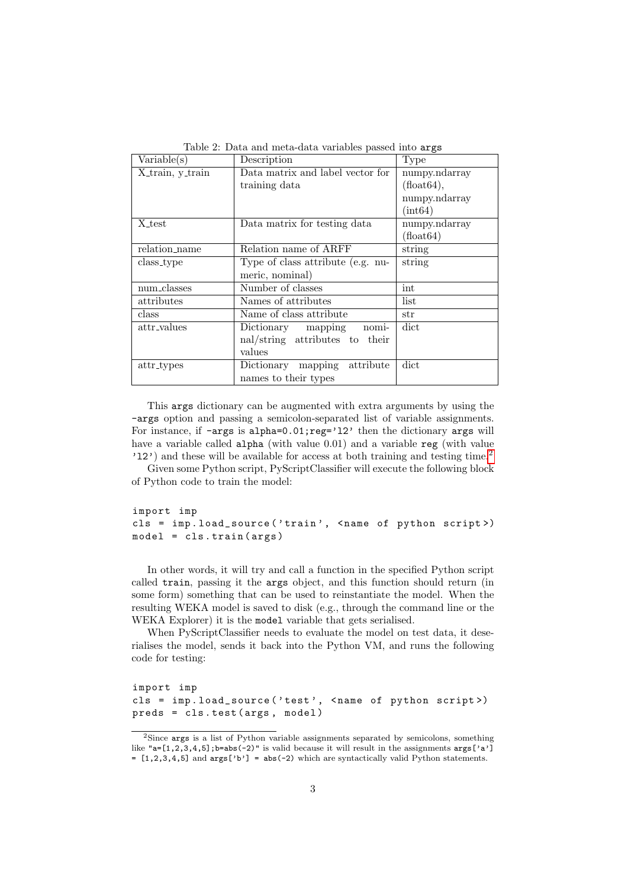| Variable(s)                             | Description                       | Type          |
|-----------------------------------------|-----------------------------------|---------------|
| X <sub>train</sub> , y <sub>train</sub> | Data matrix and label vector for  | numpy.ndarray |
|                                         | training data                     | (float64),    |
|                                         |                                   | numpy.ndarray |
|                                         |                                   | (int64)       |
| X <sub>test</sub>                       | Data matrix for testing data      | numpy.ndarray |
|                                         |                                   | (hoat64)      |
| relation_name                           | Relation name of ARFF             | string        |
| class_type                              | Type of class attribute (e.g. nu- | string        |
|                                         | meric, nominal)                   |               |
| num_classes                             | Number of classes                 | int           |
| attributes                              | Names of attributes               | list          |
| class                                   | Name of class attribute           | str           |
| attr_values                             | Dictionary mapping nomi-          | dict          |
|                                         | nal/string attributes to their    |               |
|                                         | values                            |               |
| attr_types                              | Dictionary mapping attribute      | dict          |
|                                         | names to their types              |               |

<span id="page-3-0"></span>Table 2: Data and meta-data variables passed into args

This args dictionary can be augmented with extra arguments by using the -args option and passing a semicolon-separated list of variable assignments. For instance, if -args is alpha=0.01;reg='12' then the dictionary args will have a variable called alpha (with value 0.01) and a variable reg (with value 'l2') and these will be available for access at both training and testing time.[2](#page-3-1)

Given some Python script, PyScriptClassifier will execute the following block of Python code to train the model:

import imp cls = imp.load\_source('train', <name of python script>) model = cls . train ( args )

In other words, it will try and call a function in the specified Python script called train, passing it the args object, and this function should return (in some form) something that can be used to reinstantiate the model. When the resulting WEKA model is saved to disk (e.g., through the command line or the WEKA Explorer) it is the model variable that gets serialised.

When PyScriptClassifier needs to evaluate the model on test data, it deserialises the model, sends it back into the Python VM, and runs the following code for testing:

```
import imp
cls = imp . load_source ( ' test ' , < name of python script >)
preds = cls . test ( args , model )
```
<span id="page-3-1"></span><sup>2</sup>Since args is a list of Python variable assignments separated by semicolons, something like " $a=[1,2,3,4,5]$ ; b=abs(-2)" is valid because it will result in the assignments  $\arg[2a']$  $=[1,2,3,4,5]$  and  $\arg[^\circ b']=$  abs(-2) which are syntactically valid Python statements.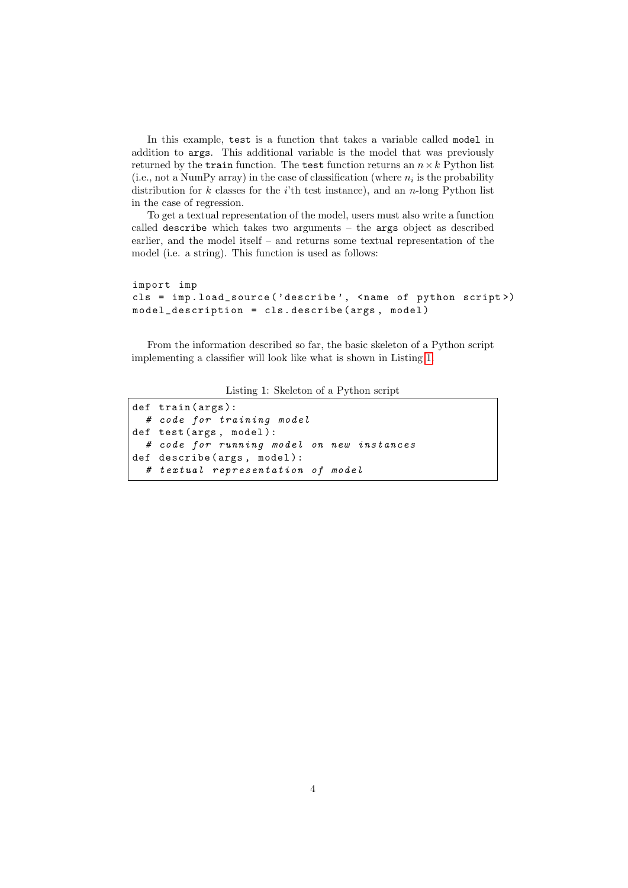In this example, test is a function that takes a variable called model in addition to args. This additional variable is the model that was previously returned by the train function. The test function returns an  $n \times k$  Python list (i.e., not a NumPy array) in the case of classification (where  $n_i$  is the probability distribution for  $k$  classes for the *i*'th test instance), and an *n*-long Python list in the case of regression.

To get a textual representation of the model, users must also write a function called describe which takes two arguments – the args object as described earlier, and the model itself – and returns some textual representation of the model (i.e. a string). This function is used as follows:

```
import imp
cls = imp.load_source('describe', <name of python script>)
model_description = cls . describe ( args , model )
```
From the information described so far, the basic skeleton of a Python script implementing a classifier will look like what is shown in Listing [1.](#page-4-0)

Listing 1: Skeleton of a Python script

```
def train (args):
  # code for training model
def test (args, model):
  # code for running model on new instances
def describe (args, model):
  # textual representation of model
```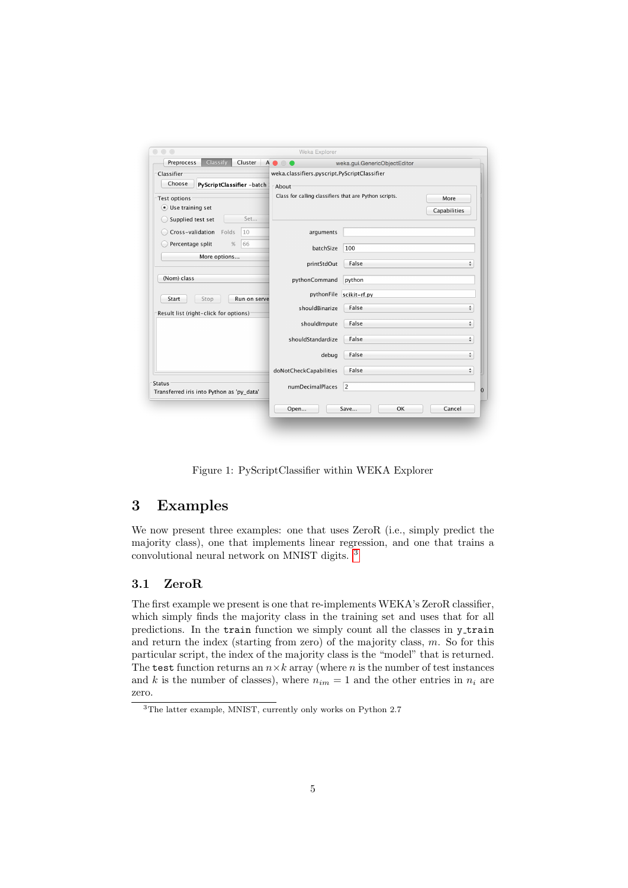| Classify<br>Preprocess<br>Cluster $A \bullet \circ \bullet$ | weka.gui.GenericObjectEditor                           |                         |                       |
|-------------------------------------------------------------|--------------------------------------------------------|-------------------------|-----------------------|
| Classifier <sup>-</sup>                                     | weka.classifiers.pyscript.PyScriptClassifier           |                         |                       |
| Choose<br>PyScriptClassifier -batch                         | -About                                                 |                         |                       |
| -Test options                                               | Class for calling classifiers that are Python scripts. |                         | More                  |
| <b>.</b> Use training set                                   |                                                        |                         | Capabilities          |
| Set<br>Supplied test set                                    |                                                        |                         |                       |
| Cross-validation<br>Folds<br>10                             | arguments                                              |                         |                       |
| Percentage split<br>%<br>66                                 | batchSize                                              | 100                     |                       |
| More options                                                | printStdOut                                            | False                   | ÷                     |
| (Nom) class                                                 | pythonCommand                                          | python                  |                       |
| Start<br>Stop<br>Run on serve                               |                                                        | pythonFile scikit-rf.py |                       |
| Result list (right-click for options)                       | shouldBinarize                                         | False                   | $\frac{\Delta}{\Psi}$ |
|                                                             | shouldImpute                                           | False                   | ÷                     |
|                                                             | shouldStandardize                                      | False                   | ÷                     |
|                                                             | debug                                                  | False                   | ÷                     |
|                                                             | doNotCheckCapabilities                                 | False                   | ÷                     |
| Status<br>Transferred iris into Python as 'py_data'         | numDecimalPlaces                                       | 2                       |                       |
|                                                             | Open                                                   | Save<br>OK              | Cancel                |

<span id="page-5-0"></span>Figure 1: PyScriptClassifier within WEKA Explorer

# 3 Examples

We now present three examples: one that uses ZeroR (i.e., simply predict the majority class), one that implements linear regression, and one that trains a convolutional neural network on MNIST digits. [3](#page-5-1)

### 3.1 ZeroR

The first example we present is one that re-implements WEKA's ZeroR classifier, which simply finds the majority class in the training set and uses that for all predictions. In the train function we simply count all the classes in y train and return the index (starting from zero) of the majority class,  $m$ . So for this particular script, the index of the majority class is the "model" that is returned. The test function returns an  $n \times k$  array (where n is the number of test instances and k is the number of classes), where  $n_{im} = 1$  and the other entries in  $n_i$  are zero.

<span id="page-5-1"></span><sup>3</sup>The latter example, MNIST, currently only works on Python 2.7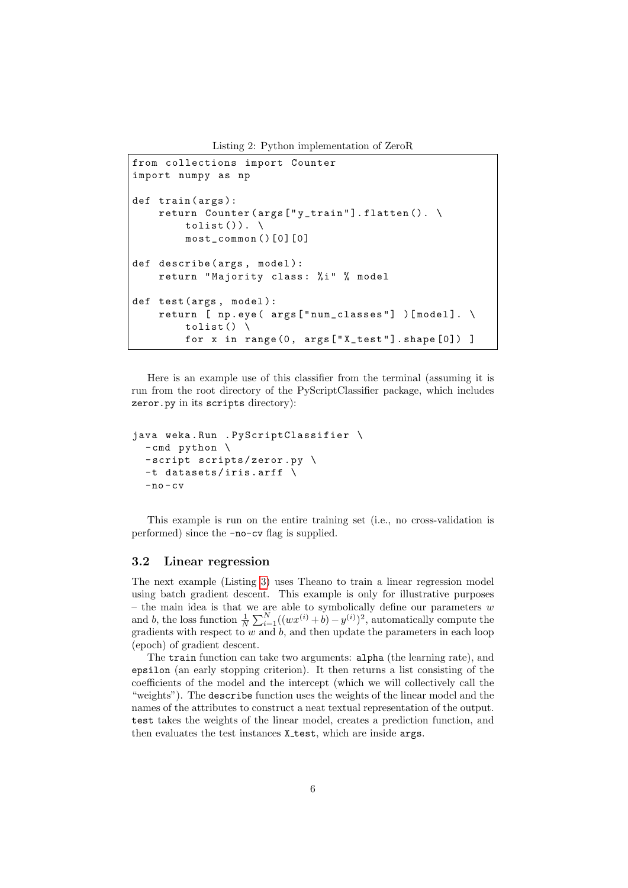Listing 2: Python implementation of ZeroR

```
from collections import Counter
import numpy as np
def train (args):
    return Counter (args ["y_train"].flatten (). \
        tolist().
        most_common ()[0][0]
def describe (args, model):
    return "Majority class: %i" % model
def test (args, model):
    return [ np.eye( args ["num_classes"] ) [model]. \
        tolist() \backslashfor x in range (0, args ["X_test"]. shape [0]) ]
```
Here is an example use of this classifier from the terminal (assuming it is run from the root directory of the PyScriptClassifier package, which includes zeror.py in its scripts directory):

```
java weka . Run . PyScriptClassifier \
  - cmd python \
  -script scripts/zeror.py \
  -t datasets / iris . arff \
  -no-cv
```
This example is run on the entire training set (i.e., no cross-validation is performed) since the -no-cv flag is supplied.

#### 3.2 Linear regression

The next example (Listing [3\)](#page-7-0) uses Theano to train a linear regression model using batch gradient descent. This example is only for illustrative purposes – the main idea is that we are able to symbolically define our parameters  $w$ and b, the loss function  $\frac{1}{N} \sum_{i=1}^{N} ((wx^{(i)} + b) - y^{(i)})^2$ , automatically compute the gradients with respect to  $w$  and  $b$ , and then update the parameters in each loop (epoch) of gradient descent.

The train function can take two arguments: alpha (the learning rate), and epsilon (an early stopping criterion). It then returns a list consisting of the coefficients of the model and the intercept (which we will collectively call the "weights"). The describe function uses the weights of the linear model and the names of the attributes to construct a neat textual representation of the output. test takes the weights of the linear model, creates a prediction function, and then evaluates the test instances X\_test, which are inside args.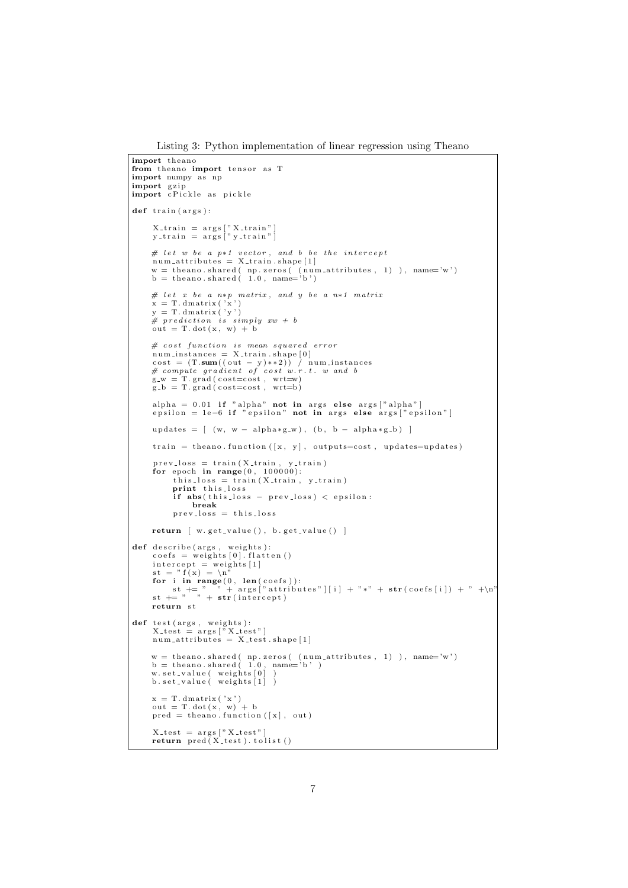Listing 3: Python implementation of linear regression using Theano

```
import theano
from the ano import tensor as T
import numpy as np
import gzip<br>import cPickle as pickle
def train (args):
         X_train = args["X_train"]<br>y_train = args["y_train"]
        # let w be a p*1 vector, and b be the intercept<br>num_attributes = X_train.shape[1]
        w = \text{theano} \cdot \text{shared}(\text{np} \cdot \text{zeros}(\text{num} \cdot \text{attributes}, 1) ), name='w')<br>b = theano\text{.shared}(\text{1.0}, \text{name='b'})# let x be a n*p matrix, and y be a n*1 matrix
        x = T \cdot \text{dmatrix'} (x')<br>
\# \text{ } pre \text{ } dictation \text{ } is \text{ } simply \text{ } xw + b<br>
\# \text{ } pre \text{ } dictation \text{ } is \text{ } simply \text{ } xw + b<br>
\text{ } out = T \cdot dot(x, w) + b# cost function is mean squared errorm num instances = X_train . shape [0]cost = (T \cdot sum((out - y) * 2)) / num instances<br>
# compute gradient of cost w.r.t. w and b<br>
g_w = T .grad(cost=cost, wrt=w)<br>
g_b = T .grad(cost=cost, wrt=b)
         alpha = 0.01 if "alpha" not in args else args["alpha"]<br>epsilon = 1e−6 if "epsilon" not in args else args["epsilon"]
        updates = [(w, w - alpha * g_w), (b, b - alpha * g_b)]train = theano . function ([x, y], outputs = cost, updates = updates)prev_loss = train(X_train, y_train)<br>
for epoch in range(0, 100000):<br>
this_loss = train(X_train, y_train)print this_loss
                 if abs (this_loss - prev_loss) < epsilon:
                        break
                prev_loss = this_lossreturn \left[ w. get_value(), b. get_value() \right]def describe (args, weights):
        \text{coeffs} = \text{weights} [0]. flatten ()
         \begin{array}{l} \text{intercept} = \text{weights} \: [1] \\ \text{st} = \text{"f(x)} = \text{"n"} \end{array}for i in range (0, \text{ len}(\text{coeffs})):<br>
st += " " + args ["attributes"][i] + "*" + str(coefs[i]) + " +\n"<br>
st += " " + str(intercept)
        return st
def test (args, weights):<br>X_test = args ["X_test"]<br>num_attributes = X_test.shape [1]
        w = theano.shared( np.zeros( (num_attributes, 1) ), name='w')<br>b = theano.shared( 1.0, name='b' )<br>w.set_value( weights[0] )<br>b.set_value( weights[1] )
        x = T.dmatrix('x')<br>out = T.dot(x, w) + b<br>pred = theano.function([x], out)
         X_{\texttt{test}} = \arg s \left[ "X_{\texttt{test}}" \right]<br>return \text{pred}(X_{\texttt{test}}). tolist ()
```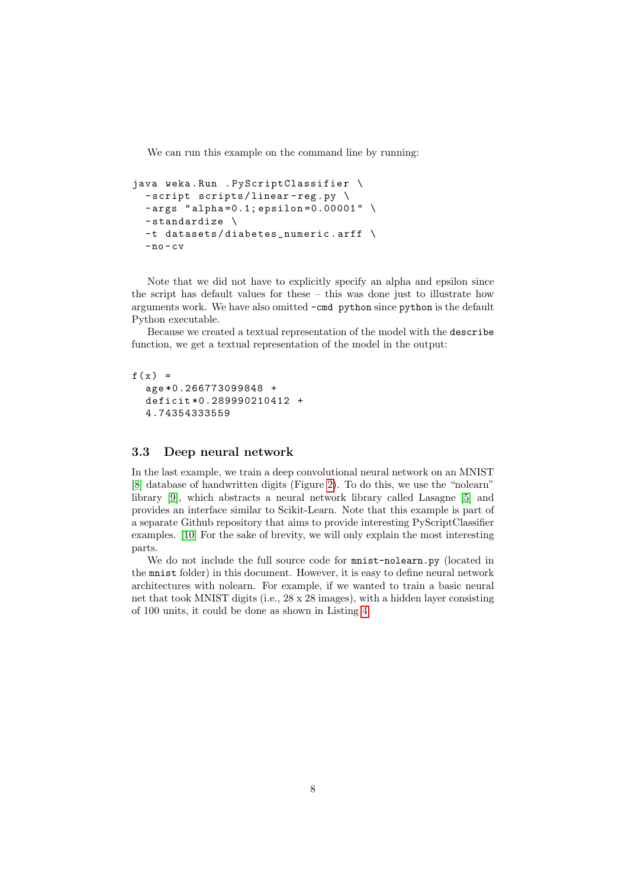We can run this example on the command line by running:

```
java weka . Run . PyScriptClassifier \
  -script scripts/linear-reg.py \
 -args "alpha=0.1; epsilon=0.00001" \
 - standardize \
  -t datasets / diabetes_numeric . arff \
  -no-cv
```
Note that we did not have to explicitly specify an alpha and epsilon since the script has default values for these – this was done just to illustrate how arguments work. We have also omitted -cmd python since python is the default Python executable.

Because we created a textual representation of the model with the describe function, we get a textual representation of the model in the output:

```
f(x) =age *0.266773099848 +
  deficit *0.289990210412 +
  4.74354333559
```
#### 3.3 Deep neural network

In the last example, we train a deep convolutional neural network on an MNIST [\[8\]](#page-14-7) database of handwritten digits (Figure [2\)](#page-10-0). To do this, we use the "nolearn" library [\[9\]](#page-14-8), which abstracts a neural network library called Lasagne [\[5\]](#page-14-4) and provides an interface similar to Scikit-Learn. Note that this example is part of a separate Github repository that aims to provide interesting PyScriptClassifier examples. [\[10\]](#page-14-9) For the sake of brevity, we will only explain the most interesting parts.

We do not include the full source code for mnist-nolearn.py (located in the mnist folder) in this document. However, it is easy to define neural network architectures with nolearn. For example, if we wanted to train a basic neural net that took MNIST digits (i.e., 28 x 28 images), with a hidden layer consisting of 100 units, it could be done as shown in Listing [4.](#page-9-0)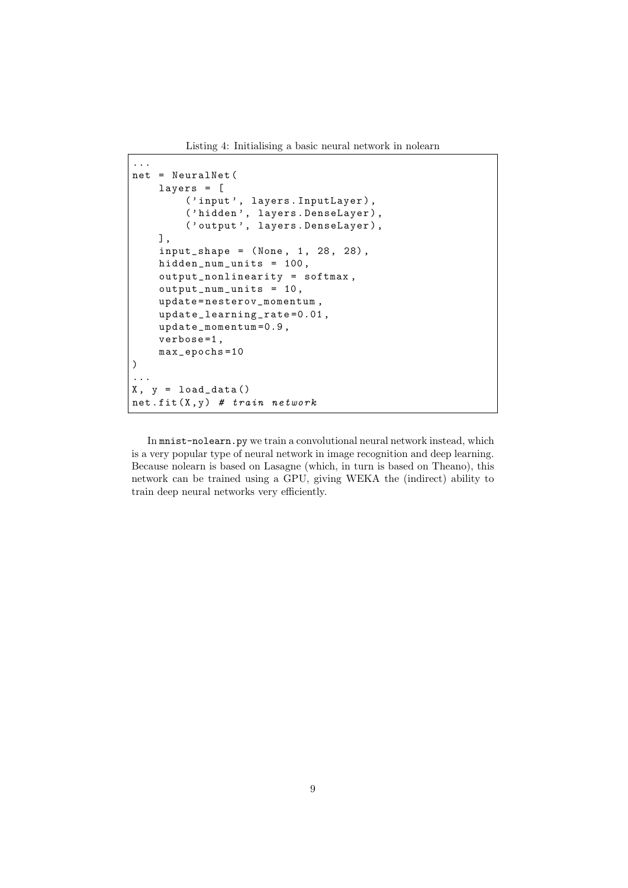Listing 4: Initialising a basic neural network in nolearn

```
...
net = NeuralNet (
    layers = [
        ('input', layers. InputLayer),
        ('hidden', layers. DenseLayer),
        ('output', layers. DenseLayer),
    ] ,
    input\_shape = (None, 1, 28, 28),
    hidden_num_units = 100 ,
    output_nonlinearity = softmax ,
    output_num_units = 10 ,
    update = nesterov_momentum ,
    update_learning_rate =0.01 ,
    update_momentum =0.9 ,
    verbose=1,
    max_epochs =10
)
...
X, y = load_data()net.fit(X, y) # train network
```
In mnist-nolearn.py we train a convolutional neural network instead, which is a very popular type of neural network in image recognition and deep learning. Because nolearn is based on Lasagne (which, in turn is based on Theano), this network can be trained using a GPU, giving WEKA the (indirect) ability to train deep neural networks very efficiently.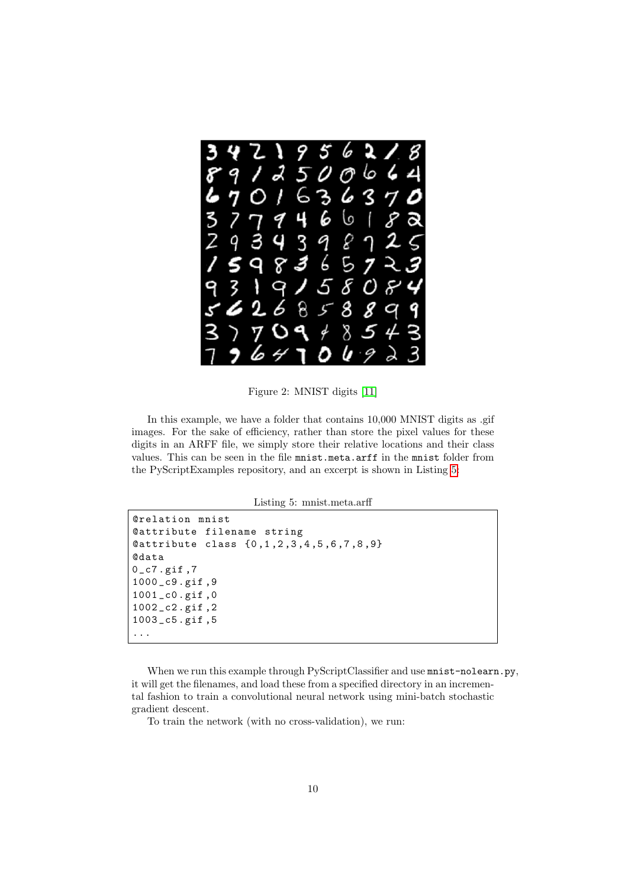

Figure 2: MNIST digits [\[11\]](#page-15-0)

In this example, we have a folder that contains  $10,000$  MNIST digits as .gif images. For the sake of efficiency, rather than store the pixel values for these digits in an ARFF file, we simply store their relative locations and their class values. This can be seen in the file mnist.meta.arff in the mnist folder from the PyScriptExamples repository, and an excerpt is shown in Listing [5:](#page-10-1)

<span id="page-10-0"></span>Listing 5: mnist.meta.arff

```
@relation mnist
@attribute filename string
@attribute class {0 ,1 ,2 ,3 ,4 ,5 ,6 ,7 ,8 ,9}
@data
0_c7.gif, 7
1000 _c9 . gif ,9
1001 _c0 . gif ,0
1002 _c2 . gif ,2
1003 _c5 . gif ,5
...
```
When we run this example through PyScriptClassifier and use  $\texttt{mnist-nolearn.py}$ , it will get the filenames, and load these from a specified directory in an incremental fashion to train a convolutional neural network using mini-batch stochastic gradient descent.

To train the network (with no cross-validation), we run: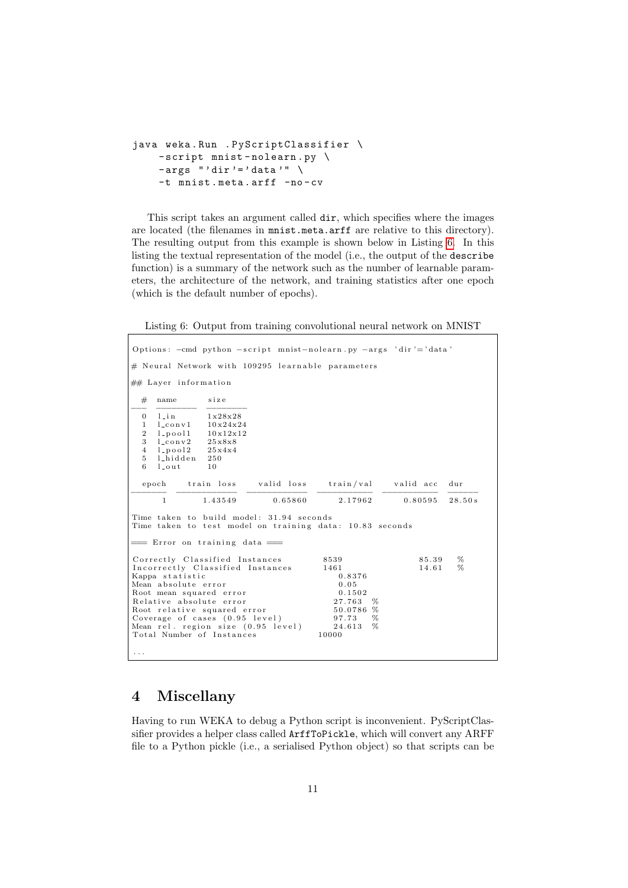```
java weka . Run . PyScriptClassifier \
    - script mnist - nolearn . py \
    -args " 'dir' = ' data' " \ \ \ \ \-t mnist.meta.arff -no-cv
```
This script takes an argument called dir, which specifies where the images are located (the filenames in mnist.meta.arff are relative to this directory). The resulting output from this example is shown below in Listing [6.](#page-11-0) In this listing the textual representation of the model (i.e., the output of the describe function) is a summary of the network such as the number of learnable parameters, the architecture of the network, and training statistics after one epoch (which is the default number of epochs).

<span id="page-11-0"></span>Listing 6: Output from training convolutional neural network on MNIST

```
Options: -cmd python -script mnist-nolearn.py -args 'dir'='data'
# Neural Network with 109295 learnable parameters
\# Layer information
  # name size
−−− −−−−−−−− −−−−−−−−
  0 l_{\texttt{lin}} 1 \times 28 \times 28\frac{1}{2} \frac{\text{1} \text{conv1}}{\text{1} \text{v24x24}}2 l_pool1 10x12x<br>3 l_conv2 25x8x8
  3 l_conv2 25x8x8<br>4 l_pool2 25x4x4
  4 l_pool2 25x<br>5 l_hidden 250
  \begin{bmatrix} 5 & 1 \end{bmatrix} hidden \begin{bmatrix} 25 \\ 1 \end{bmatrix}l_ out
  epoch train loss valid loss train/val valid acc dur
−−−−−−− −−−−−−−−−−−− −−−−−−−−−−−− −−−−−−−−−−− −−−−−−−−−−− −−−−−−
        1 \qquad \qquad 1.43549 \qquad \qquad 0.65860 \qquad \qquad 2.17962 \qquad \qquad 0.80595 \quad \  28.50 \, \mathrm{s}Time taken to build model: 31.94 seconds
Time taken to test model on training data: 10.83 seconds
   = Error on training data =Correctly Classified Instances 8539 85.39 %<br>Incorrectly Classified Instances 1461 14.61 %
Incorrectly Classified Instances 1461<br>Kappa statistic 0.8376
Kappa statistic
Mean absolute error 0.05<br>Root mean squared error 0.1502Root mean squared error
R e l a t i v e a b s o l u t e e r r o r 2 7 . 7 6 3 %
Root relative squared error 50.0786 %<br>Coverage of cases (0.95 level) 97.73 %
Coverage of cases (0.95 \text{ level}) 97.73 %<br>Mean rel. region size (0.95 \text{ level}) 24.613 %
Mean rel. region size (0.95 level) 24.613 %<br>Total Number of Instances 10000
. . .
```
### 4 Miscellany

Having to run WEKA to debug a Python script is inconvenient. PyScriptClassifier provides a helper class called ArffToPickle, which will convert any ARFF file to a Python pickle (i.e., a serialised Python object) so that scripts can be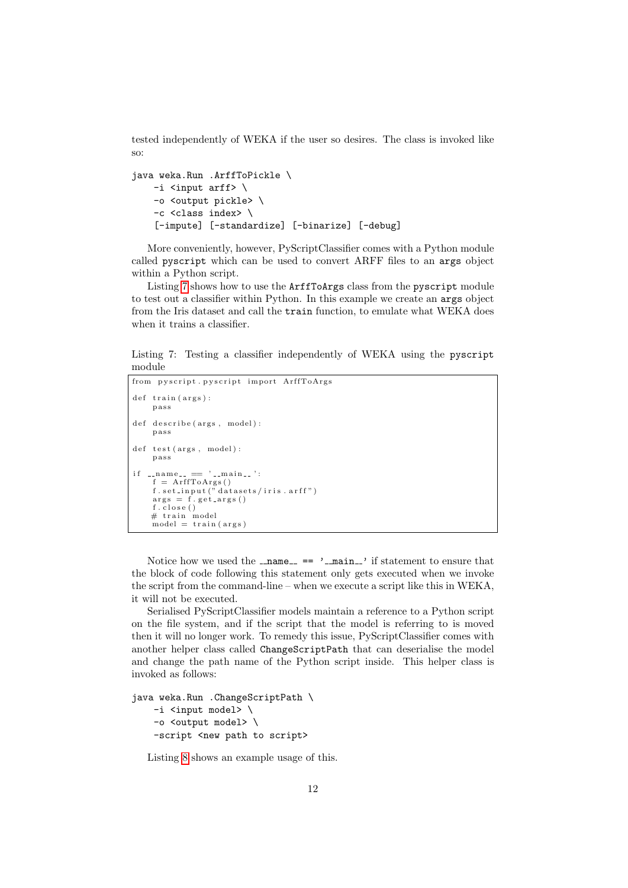tested independently of WEKA if the user so desires. The class is invoked like so:

```
java weka.Run .ArffToPickle \
    -i <input arff> \setminus-o <output pickle> \
    -c <class index> \
    [-impute] [-standardize] [-binarize] [-debug]
```
More conveniently, however, PyScriptClassifier comes with a Python module called pyscript which can be used to convert ARFF files to an args object within a Python script.

Listing [7](#page-12-0) shows how to use the ArffToArgs class from the pyscript module to test out a classifier within Python. In this example we create an args object from the Iris dataset and call the train function, to emulate what WEKA does when it trains a classifier.

<span id="page-12-0"></span>Listing 7: Testing a classifier independently of WEKA using the pyscript module

```
from pyscript . pyscript import ArffToArgs
def train (args):
       p a s s
def describe (args, model):
       p a s s
\begin{minipage}{.4\linewidth} \hspace*{1.2cm} \texttt{def} \hspace*{1.2cm} \texttt{test}\left(\, \texttt{args}\;,\ \texttt{model}\,\right)\colon \end{minipage}p a s s
if \dots n am e_{--} \implies ' \dots m a in \dots ':
        f = ArffToArgs()<br>f.set_input("datasets/iris.arff")
       args = f.get_{args}()f.close()# train model<br>model = train(args)
```
Notice how we used the  $\text{name} = \text{name}$  ==  $\text{cdot}$   $\text{main}$  if statement to ensure that the block of code following this statement only gets executed when we invoke the script from the command-line – when we execute a script like this in WEKA, it will not be executed.

Serialised PyScriptClassifier models maintain a reference to a Python script on the file system, and if the script that the model is referring to is moved then it will no longer work. To remedy this issue, PyScriptClassifier comes with another helper class called ChangeScriptPath that can deserialise the model and change the path name of the Python script inside. This helper class is invoked as follows:

```
java weka.Run .ChangeScriptPath \
   -i <input model> \
   -o <output model> \
   -script <new path to script>
```
Listing [8](#page-13-0) shows an example usage of this.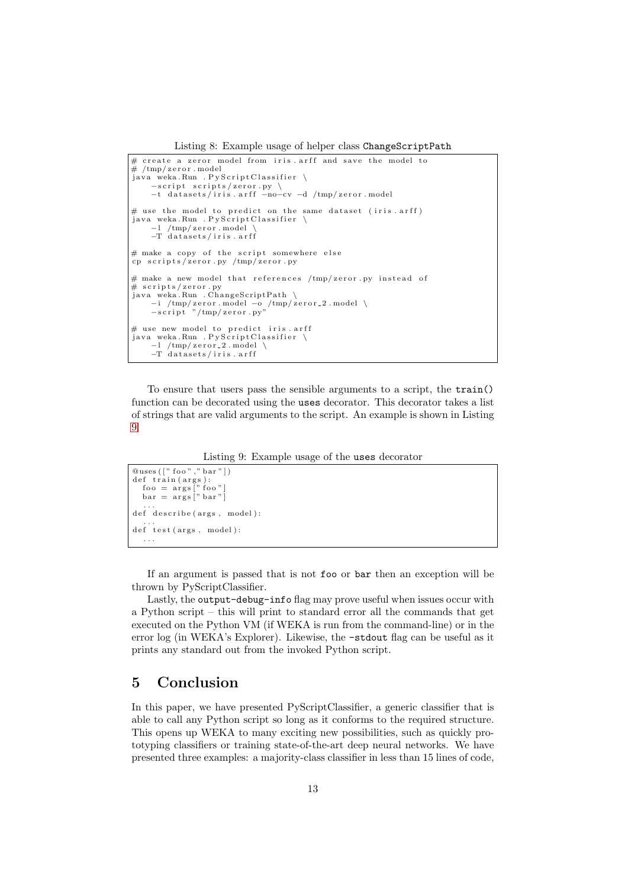Listing 8: Example usage of helper class ChangeScriptPath

```
\# create a zeror model from iris arff and save the model to
\# /tmp / zero r . modeljava weka. Run . PyScript Classifier \
     −script scripts/zeror.py \<br>-t datasets/iris.arff -no-cv -d /tmp/zeror.model
# use the model to predict on the same dataset (iris. arff)
java weka.Run .PyScriptClassifier \<br>-1 /tmp/zeror.model \
    −T d a t a s e t s / i r i s . a r f f
# make a copy of the script somewhere else
cp scripts/zeror.py /tmp/zeror.py
# make a new model that references /\text{tmp}/\text{zeror}. py instead of
# scripts/zeror.py
java weka. Run . ChangeScriptPath \
     −i /tmp/zeror.model −o /tmp/zeror_2.model \<br>-script "/tmp/zeror.py"
# use new model to predict iris. arff
java weka Run . Py Script Classifier
       /tmp/zeror_2.model
    -T datasets/iris.arff
```
To ensure that users pass the sensible arguments to a script, the train() function can be decorated using the uses decorator. This decorator takes a list of strings that are valid arguments to the script. An example is shown in Listing [9.](#page-13-1)

Listing 9: Example usage of the uses decorator

```
@uses(["foo", "bar"])def train (args):<br>
foo = args [" foo"]<br>
bar = args [" bar"]<br>
...
def describe (args, model):
...<br>def test(args, model):
   . . .
```
If an argument is passed that is not foo or bar then an exception will be thrown by PyScriptClassifier.

Lastly, the output-debug-info flag may prove useful when issues occur with a Python script – this will print to standard error all the commands that get executed on the Python VM (if WEKA is run from the command-line) or in the error log (in WEKA's Explorer). Likewise, the -stdout flag can be useful as it prints any standard out from the invoked Python script.

## 5 Conclusion

In this paper, we have presented PyScriptClassifier, a generic classifier that is able to call any Python script so long as it conforms to the required structure. This opens up WEKA to many exciting new possibilities, such as quickly prototyping classifiers or training state-of-the-art deep neural networks. We have presented three examples: a majority-class classifier in less than 15 lines of code,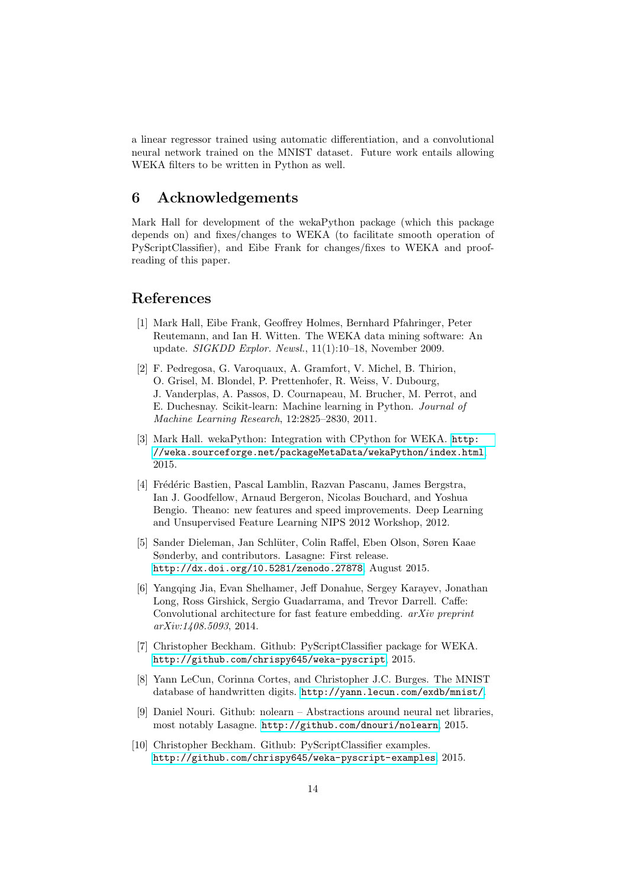a linear regressor trained using automatic differentiation, and a convolutional neural network trained on the MNIST dataset. Future work entails allowing WEKA filters to be written in Python as well.

# 6 Acknowledgements

Mark Hall for development of the wekaPython package (which this package depends on) and fixes/changes to WEKA (to facilitate smooth operation of PyScriptClassifier), and Eibe Frank for changes/fixes to WEKA and proofreading of this paper.

# References

- <span id="page-14-0"></span>[1] Mark Hall, Eibe Frank, Geoffrey Holmes, Bernhard Pfahringer, Peter Reutemann, and Ian H. Witten. The WEKA data mining software: An update. SIGKDD Explor. Newsl., 11(1):10–18, November 2009.
- <span id="page-14-1"></span>[2] F. Pedregosa, G. Varoquaux, A. Gramfort, V. Michel, B. Thirion, O. Grisel, M. Blondel, P. Prettenhofer, R. Weiss, V. Dubourg, J. Vanderplas, A. Passos, D. Cournapeau, M. Brucher, M. Perrot, and E. Duchesnay. Scikit-learn: Machine learning in Python. Journal of Machine Learning Research, 12:2825–2830, 2011.
- <span id="page-14-2"></span>[3] Mark Hall. wekaPython: Integration with CPython for WEKA. [http:](http://weka.sourceforge.net/packageMetaData/wekaPython/index.html) [//weka.sourceforge.net/packageMetaData/wekaPython/index.html](http://weka.sourceforge.net/packageMetaData/wekaPython/index.html), 2015.
- <span id="page-14-3"></span>[4] Frédéric Bastien, Pascal Lamblin, Razvan Pascanu, James Bergstra, Ian J. Goodfellow, Arnaud Bergeron, Nicolas Bouchard, and Yoshua Bengio. Theano: new features and speed improvements. Deep Learning and Unsupervised Feature Learning NIPS 2012 Workshop, 2012.
- <span id="page-14-4"></span>[5] Sander Dieleman, Jan Schl¨uter, Colin Raffel, Eben Olson, Søren Kaae Sønderby, and contributors. Lasagne: First release. <http://dx.doi.org/10.5281/zenodo.27878>, August 2015.
- <span id="page-14-5"></span>[6] Yangqing Jia, Evan Shelhamer, Jeff Donahue, Sergey Karayev, Jonathan Long, Ross Girshick, Sergio Guadarrama, and Trevor Darrell. Caffe: Convolutional architecture for fast feature embedding. arXiv preprint arXiv:1408.5093, 2014.
- <span id="page-14-6"></span>[7] Christopher Beckham. Github: PyScriptClassifier package for WEKA. <http://github.com/chrispy645/weka-pyscript>, 2015.
- <span id="page-14-7"></span>[8] Yann LeCun, Corinna Cortes, and Christopher J.C. Burges. The MNIST database of handwritten digits. <http://yann.lecun.com/exdb/mnist/>.
- <span id="page-14-8"></span>[9] Daniel Nouri. Github: nolearn – Abstractions around neural net libraries, most notably Lasagne. <http://github.com/dnouri/nolearn>, 2015.
- <span id="page-14-9"></span>[10] Christopher Beckham. Github: PyScriptClassifier examples. <http://github.com/chrispy645/weka-pyscript-examples>, 2015.